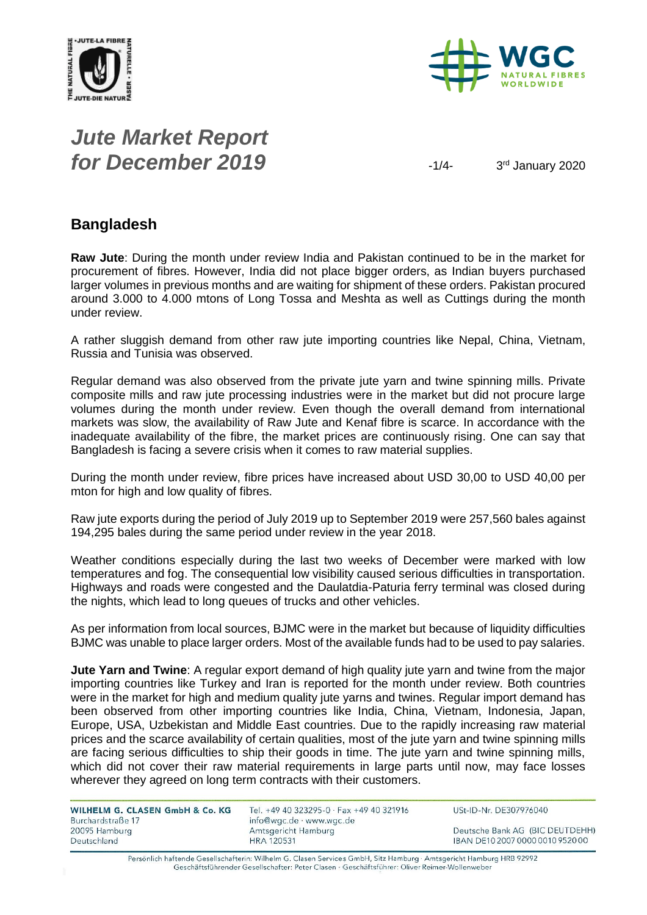



## *Jute Market Report for December 2019*  $\frac{1}{4}$

3rd January 2020

#### **Bangladesh**

**Raw Jute**: During the month under review India and Pakistan continued to be in the market for procurement of fibres. However, India did not place bigger orders, as Indian buyers purchased larger volumes in previous months and are waiting for shipment of these orders. Pakistan procured around 3.000 to 4.000 mtons of Long Tossa and Meshta as well as Cuttings during the month under review.

A rather sluggish demand from other raw jute importing countries like Nepal, China, Vietnam, Russia and Tunisia was observed.

Regular demand was also observed from the private jute yarn and twine spinning mills. Private composite mills and raw jute processing industries were in the market but did not procure large volumes during the month under review. Even though the overall demand from international markets was slow, the availability of Raw Jute and Kenaf fibre is scarce. In accordance with the inadequate availability of the fibre, the market prices are continuously rising. One can say that Bangladesh is facing a severe crisis when it comes to raw material supplies.

During the month under review, fibre prices have increased about USD 30,00 to USD 40,00 per mton for high and low quality of fibres.

Raw jute exports during the period of July 2019 up to September 2019 were 257,560 bales against 194,295 bales during the same period under review in the year 2018.

Weather conditions especially during the last two weeks of December were marked with low temperatures and fog. The consequential low visibility caused serious difficulties in transportation. Highways and roads were congested and the Daulatdia-Paturia ferry terminal was closed during the nights, which lead to long queues of trucks and other vehicles.

As per information from local sources, BJMC were in the market but because of liquidity difficulties BJMC was unable to place larger orders. Most of the available funds had to be used to pay salaries.

**Jute Yarn and Twine**: A regular export demand of high quality jute yarn and twine from the major importing countries like Turkey and Iran is reported for the month under review. Both countries were in the market for high and medium quality jute varns and twines. Regular import demand has been observed from other importing countries like India, China, Vietnam, Indonesia, Japan, Europe, USA, Uzbekistan and Middle East countries. Due to the rapidly increasing raw material prices and the scarce availability of certain qualities, most of the jute yarn and twine spinning mills are facing serious difficulties to ship their goods in time. The jute yarn and twine spinning mills, which did not cover their raw material requirements in large parts until now, may face losses wherever they agreed on long term contracts with their customers.

| WILHELM G. CLASEN GmbH & Co. KG<br>Burchardstraße 17 | Tel. +49 40 323295-0 $\cdot$ Fax +49 40 321916<br>info@wac.de · www.wac.de | USt-ID-Nr. DE307976040           |
|------------------------------------------------------|----------------------------------------------------------------------------|----------------------------------|
| 20095 Hamburg                                        | Amtsgericht Hamburg                                                        | Deutsche Bank AG (BIC DEUTDEHH)  |
| Deutschland                                          | HRA 120531                                                                 | IBAN DE10 2007 0000 0010 9520 00 |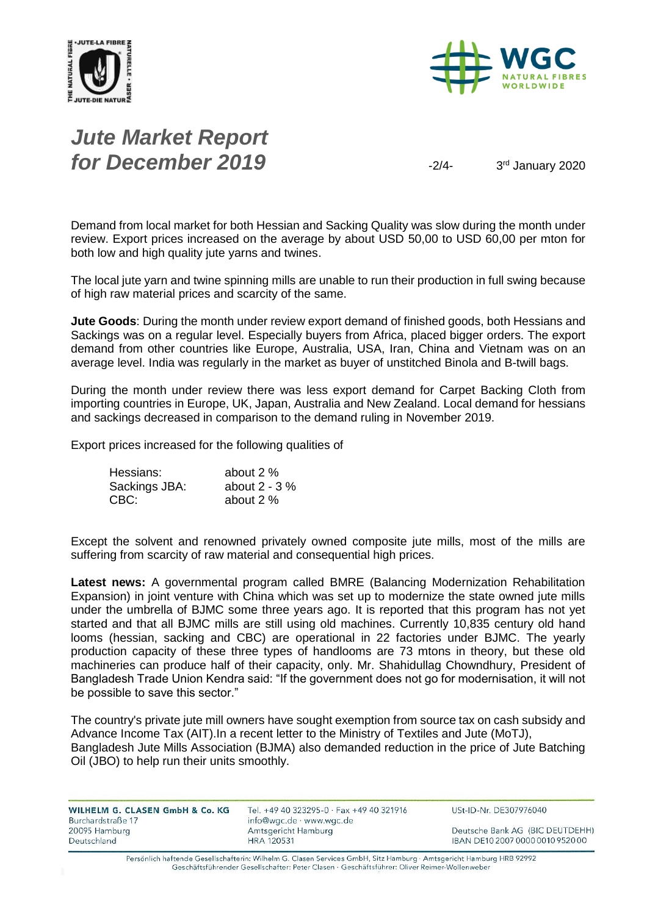



# *Jute Market Report for December 2019*  $\frac{3}{4}$

3rd January 2020

Demand from local market for both Hessian and Sacking Quality was slow during the month under review. Export prices increased on the average by about USD 50,00 to USD 60,00 per mton for both low and high quality jute yarns and twines.

The local jute yarn and twine spinning mills are unable to run their production in full swing because of high raw material prices and scarcity of the same.

**Jute Goods**: During the month under review export demand of finished goods, both Hessians and Sackings was on a regular level. Especially buyers from Africa, placed bigger orders. The export demand from other countries like Europe, Australia, USA, Iran, China and Vietnam was on an average level. India was regularly in the market as buyer of unstitched Binola and B-twill bags.

During the month under review there was less export demand for Carpet Backing Cloth from importing countries in Europe, UK, Japan, Australia and New Zealand. Local demand for hessians and sackings decreased in comparison to the demand ruling in November 2019.

Export prices increased for the following qualities of

| Hessians:     | about 2 %       |
|---------------|-----------------|
| Sackings JBA: | about $2 - 3\%$ |
| CBC:          | about 2 %       |

Except the solvent and renowned privately owned composite jute mills, most of the mills are suffering from scarcity of raw material and consequential high prices.

**Latest news:** A governmental program called BMRE (Balancing Modernization Rehabilitation Expansion) in joint venture with China which was set up to modernize the state owned jute mills under the umbrella of BJMC some three years ago. It is reported that this program has not yet started and that all BJMC mills are still using old machines. Currently 10,835 century old hand looms (hessian, sacking and CBC) are operational in 22 factories under BJMC. The yearly production capacity of these three types of handlooms are 73 mtons in theory, but these old machineries can produce half of their capacity, only. Mr. Shahidullag Chowndhury, President of Bangladesh Trade Union Kendra said: "If the government does not go for modernisation, it will not be possible to save this sector."

The country's private jute mill owners have sought exemption from source tax on cash subsidy and Advance Income Tax (AIT).In a recent letter to the Ministry of Textiles and Jute (MoTJ), Bangladesh Jute Mills Association (BJMA) also demanded reduction in the price of Jute Batching Oil (JBO) to help run their units smoothly.

| WILHELM G. CLASEN GmbH & Co. KG | Tel. +49 40 323295-0 · Fax +49 40 321916 | USt-ID-Nr. DE307976040           |
|---------------------------------|------------------------------------------|----------------------------------|
| Burchardstraße 17               | info@wgc.de · www.wgc.de                 |                                  |
| 20095 Hamburg                   | Amtsgericht Hamburg                      | Deutsche Bank AG (BIC DEUTDEHH)  |
| Deutschland                     | <b>HRA 120531</b>                        | IBAN DE10 2007 0000 0010 9520 00 |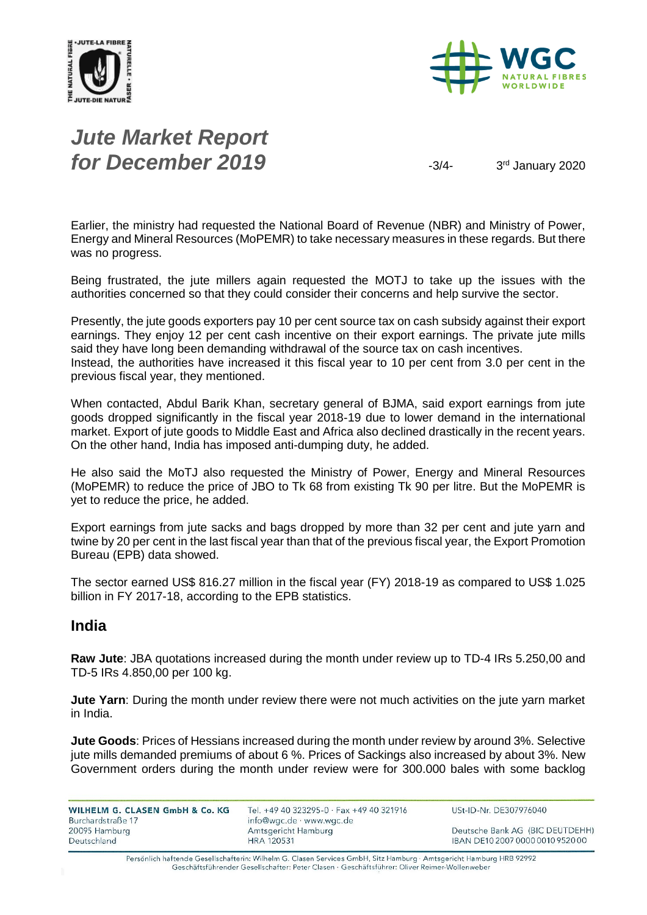



# *Jute Market Report for December 2019*  $\frac{3}{4}$

3rd January 2020

Earlier, the ministry had requested the National Board of Revenue (NBR) and Ministry of Power, Energy and Mineral Resources (MoPEMR) to take necessary measures in these regards. But there was no progress.

Being frustrated, the jute millers again requested the MOTJ to take up the issues with the authorities concerned so that they could consider their concerns and help survive the sector.

Presently, the jute goods exporters pay 10 per cent source tax on cash subsidy against their export earnings. They enjoy 12 per cent cash incentive on their export earnings. The private jute mills said they have long been demanding withdrawal of the source tax on cash incentives. Instead, the authorities have increased it this fiscal year to 10 per cent from 3.0 per cent in the previous fiscal year, they mentioned.

When contacted, Abdul Barik Khan, secretary general of BJMA, said export earnings from jute goods dropped significantly in the fiscal year 2018-19 due to lower demand in the international market. Export of jute goods to Middle East and Africa also declined drastically in the recent years. On the other hand, India has imposed anti-dumping duty, he added.

He also said the MoTJ also requested the Ministry of Power, Energy and Mineral Resources (MoPEMR) to reduce the price of JBO to Tk 68 from existing Tk 90 per litre. But the MoPEMR is yet to reduce the price, he added.

Export earnings from jute sacks and bags dropped by more than 32 per cent and jute yarn and twine by 20 per cent in the last fiscal year than that of the previous fiscal year, the Export Promotion Bureau (EPB) data showed.

The sector earned US\$ 816.27 million in the fiscal year (FY) 2018-19 as compared to US\$ 1.025 billion in FY 2017-18, according to the EPB statistics.

#### **India**

**Raw Jute**: JBA quotations increased during the month under review up to TD-4 IRs 5.250,00 and TD-5 IRs 4.850,00 per 100 kg.

**Jute Yarn**: During the month under review there were not much activities on the jute yarn market in India.

**Jute Goods**: Prices of Hessians increased during the month under review by around 3%. Selective jute mills demanded premiums of about 6 %. Prices of Sackings also increased by about 3%. New Government orders during the month under review were for 300.000 bales with some backlog

WILHELM G. CLASEN GmbH & Co. KG Burchardstraße 17 20095 Hamburg Deutschland

Tel. +49 40 323295-0 · Fax +49 40 321916 info@wgc.de · www.wgc.de Amtsgericht Hamburg **HRA 120531** 

USt-ID-Nr. DE307976040

Deutsche Bank AG (BIC DEUTDEHH) IBAN DE10 2007 0000 0010 9520 00